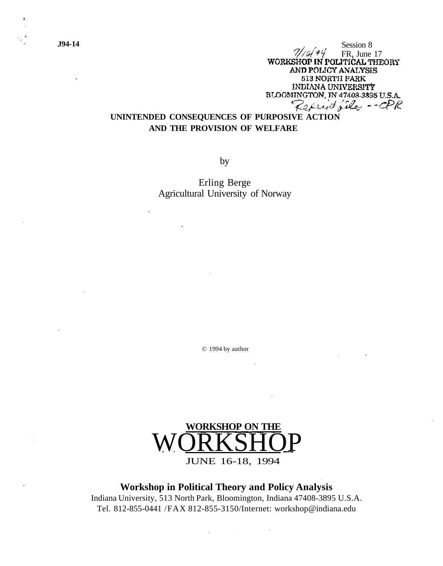**J94-14** Session 8  $\frac{7}{6}$  of  $\frac{7}{6}$  FR, June 17<br>WORKSHOP IN POLITICAL THEORY AND POLICY ANALYSIS 513 NORTH PARK INDIANA UNIVERSITY<br>BLOOMINGTON, IN 47408-3895 U.S.A. Reprint files -- CPR

# **UNINTENDED CONSEQUENCES OF PURPOSIVE ACTION AND THE PROVISION OF WELFARE**

by

Erling Berge Agricultural University of Norway

© 1994 by author



**Workshop in Political Theory and Policy Analysis** Indiana University, 513 North Park, Bloomington, Indiana 47408-3895 U.S.A. Tel. 812-855-0441 /FAX 812-855-3150/Internet: workshop@indiana.edu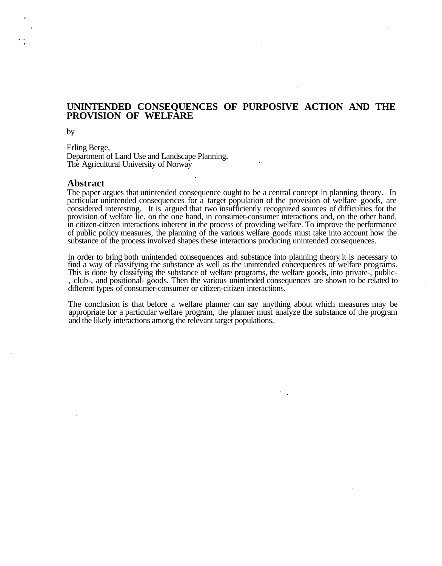# **UNINTENDED CONSEQUENCES OF PURPOSIVE ACTION AND THE PROVISION OF WELFARE**

by

Erling Berge, Department of Land Use and Landscape Planning, The Agricultural University of Norway

#### **Abstract**

The paper argues that unintended consequence ought to be a central concept in planning theory. In particular unintended consequences for a target population of the provision of welfare goods, are considered interesting. It is argued that two insufficiently recognized sources of difficulties for the provision of welfare lie, on the one hand, in consumer-consumer interactions and, on the other hand, in citizen-citizen interactions inherent in the process of providing welfare. To improve the performance of public policy measures, the planning of the various welfare goods must take into account how the substance of the process involved shapes these interactions producing unintended consequences.

In order to bring both unintended consequences and substance into planning theory it is necessary to find a way of classifying the substance as well as the unintended concequences of welfare programs. This is done by classifying the substance of welfare programs, the welfare goods, into private-, public- , club-, and positional- goods. Then the various unintended consequences are shown to be related to different types of consumer-consumer or citizen-citizen interactions.

The conclusion is that before a welfare planner can say anything about which measures may be appropriate for a particular welfare program, the planner must analyze the substance of the program and the likely interactions among the relevant target populations.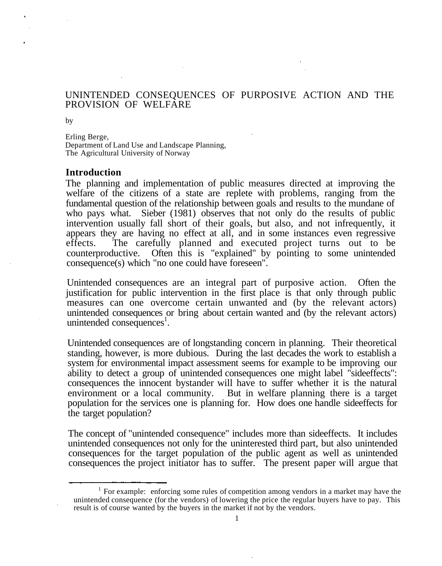# UNINTENDED CONSEQUENCES OF PURPOSIVE ACTION AND THE PROVISION OF WELFARE

by

Erling Berge, Department of Land Use and Landscape Planning, The Agricultural University of Norway

# **Introduction**

The planning and implementation of public measures directed at improving the welfare of the citizens of a state are replete with problems, ranging from the fundamental question of the relationship between goals and results to the mundane of who pays what. Sieber (1981) observes that not only do the results of public intervention usually fall short of their goals, but also, and not infrequently, it appears they are having no effect at all, and in some instances even regressive effects. The carefully planned and executed project turns out to be counterproductive. Often this is "explained" by pointing to some unintended consequence(s) which "no one could have foreseen".

Unintended consequences are an integral part of purposive action. Often the justification for public intervention in the first place is that only through public measures can one overcome certain unwanted and (by the relevant actors) unintended consequences or bring about certain wanted and (by the relevant actors) unintended consequences<sup>1</sup>.

Unintended consequences are of longstanding concern in planning. Their theoretical standing, however, is more dubious. During the last decades the work to establish a system for environmental impact assessment seems for example to be improving our ability to detect a group of unintended consequences one might label "sideeffects": consequences the innocent bystander will have to suffer whether it is the natural environment or a local community. But in welfare planning there is a target population for the services one is planning for. How does one handle sideeffects for the target population?

The concept of "unintended consequence" includes more than sideeffects. It includes unintended consequences not only for the uninterested third part, but also unintended consequences for the target population of the public agent as well as unintended consequences the project initiator has to suffer. The present paper will argue that

<sup>&</sup>lt;sup>1</sup> For example: enforcing some rules of competition among vendors in a market may have the unintended consequence (for the vendors) of lowering the price the regular buyers have to pay. This result is of course wanted by the buyers in the market if not by the vendors.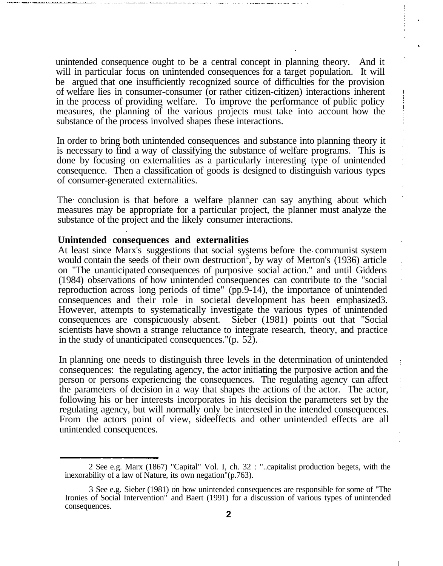unintended consequence ought to be a central concept in planning theory. And it will in particular focus on unintended consequences for a target population. It will be argued that one insufficiently recognized source of difficulties for the provision of welfare lies in consumer-consumer (or rather citizen-citizen) interactions inherent in the process of providing welfare. To improve the performance of public policy measures, the planning of the various projects must take into account how the substance of the process involved shapes these interactions.

In order to bring both unintended consequences and substance into planning theory it is necessary to find a way of classifying the substance of welfare programs. This is done by focusing on externalities as a particularly interesting type of unintended consequence. Then a classification of goods is designed to distinguish various types of consumer-generated externalities.

The conclusion is that before a welfare planner can say anything about which measures may be appropriate for a particular project, the planner must analyze the substance of the project and the likely consumer interactions.

#### **Unintended consequences and externalities**

At least since Marx's suggestions that social systems before the communist system would contain the seeds of their own destruction<sup>2</sup>, by way of Merton's (1936) article on "The unanticipated consequences of purposive social action." and until Giddens (1984) observations of how unintended consequences can contribute to the "social reproduction across long periods of time" (pp.9-14), the importance of unintended consequences and their role in societal development has been emphasized3. However, attempts to systematically investigate the various types of unintended consequences are conspicuously absent. Sieber (1981) points out that "Social scientists have shown a strange reluctance to integrate research, theory, and practice in the study of unanticipated consequences."(p. 52).

In planning one needs to distinguish three levels in the determination of unintended consequences: the regulating agency, the actor initiating the purposive action and the person or persons experiencing the consequences. The regulating agency can affect the parameters of decision in a way that shapes the actions of the actor. The actor, following his or her interests incorporates in his decision the parameters set by the regulating agency, but will normally only be interested in the intended consequences. From the actors point of view, sideeffects and other unintended effects are all unintended consequences.

<sup>2</sup> See e.g. Marx (1867) "Capital" Vol. I, ch. 32 : "..capitalist production begets, with the inexorability of a law of Nature, its own negation"(p.763).

<sup>3</sup> See e.g. Sieber (1981) on how unintended consequences are responsible for some of "The Ironies of Social Intervention" and Baert (1991) for a discussion of various types of unintended consequences.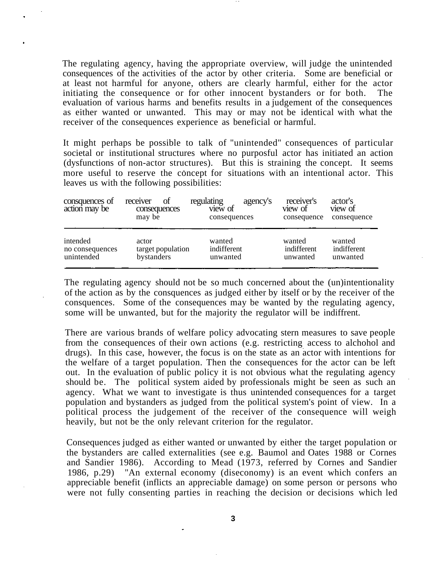The regulating agency, having the appropriate overview, will judge the unintended consequences of the activities of the actor by other criteria. Some are beneficial or at least not harmful for anyone, others are clearly harmful, either for the actor initiating the consequence or for other innocent bystanders or for both. The evaluation of various harms and benefits results in a judgement of the consequences as either wanted or unwanted. This may or may not be identical with what the receiver of the consequences experience as beneficial or harmful.

It might perhaps be possible to talk of "unintended" consequences of particular societal or institutional structures where no purposful actor has initiated an action (dysfunctions of non-actor structures). But this is straining the concept. It seems more useful to reserve the concept for situations with an intentional actor. This leaves us with the following possibilities:

| consquences of<br>action may be | receiver<br>Οt<br>consequences<br>may be | regulating<br>view of<br>consequences | receiver's<br>agency's<br>view of<br>consequence | actor's<br>view of<br>consequence |
|---------------------------------|------------------------------------------|---------------------------------------|--------------------------------------------------|-----------------------------------|
| intended                        | actor                                    | wanted                                | wanted                                           | wanted                            |
| no consequences                 | target population                        | indifferent                           | indifferent                                      | indifferent                       |
| unintended                      | bystanders                               | unwanted                              | unwanted                                         | unwanted                          |

The regulating agency should not be so much concerned about the (un)intentionality of the action as by the consquences as judged either by itself or by the receiver of the consquences. Some of the consequences may be wanted by the regulating agency, some will be unwanted, but for the majority the regulator will be indiffrent.

There are various brands of welfare policy advocating stern measures to save people from the consequences of their own actions (e.g. restricting access to alchohol and drugs). In this case, however, the focus is on the state as an actor with intentions for the welfare of a target population. Then the consequences for the actor can be left out. In the evaluation of public policy it is not obvious what the regulating agency should be. The political system aided by professionals might be seen as such an agency. What we want to investigate is thus unintended consequences for a target population and bystanders as judged from the political system's point of view. In a political process the judgement of the receiver of the consequence will weigh heavily, but not be the only relevant criterion for the regulator.

Consequences judged as either wanted or unwanted by either the target population or the bystanders are called externalities (see e.g. Baumol and Oates 1988 or Cornes and Sandier 1986). According to Mead (1973, referred by Cornes and Sandier 1986, p.29) "An external economy (diseconomy) is an event which confers an appreciable benefit (inflicts an appreciable damage) on some person or persons who were not fully consenting parties in reaching the decision or decisions which led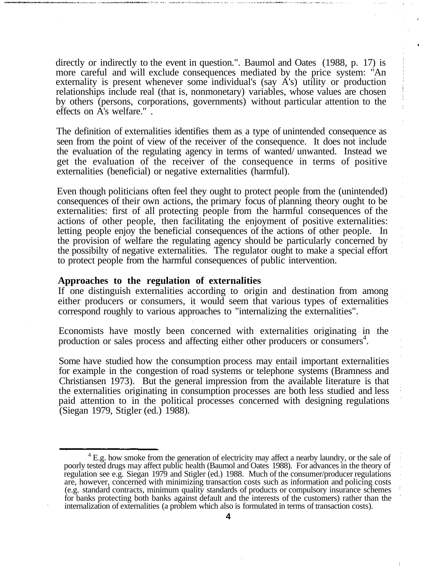directly or indirectly to the event in question.". Baumol and Oates (1988, p. 17) is more careful and will exclude consequences mediated by the price system: "An externality is present whenever some individual's (say A's) utility or production relationships include real (that is, nonmonetary) variables, whose values are chosen by others (persons, corporations, governments) without particular attention to the effects on A's welfare." .

The definition of externalities identifies them as a type of unintended consequence as seen from the point of view of the receiver of the consequence. It does not include the evaluation of the regulating agency in terms of wanted/ unwanted. Instead we get the evaluation of the receiver of the consequence in terms of positive externalities (beneficial) or negative externalities (harmful).

Even though politicians often feel they ought to protect people from the (unintended) consequences of their own actions, the primary focus of planning theory ought to be externalities: first of all protecting people from the harmful consequences of the actions of other people, then facilitating the enjoyment of positive externalities: letting people enjoy the beneficial consequences of the actions of other people. In the provision of welfare the regulating agency should be particularly concerned by the possibilty of negative externalities. The regulator ought to make a special effort to protect people from the harmful consequences of public intervention.

#### **Approaches to the regulation of externalities**

If one distinguish externalities according to origin and destination from among either producers or consumers, it would seem that various types of externalities correspond roughly to various approaches to "internalizing the externalities".

Economists have mostly been concerned with externalities originating in the production or sales process and affecting either other producers or consumers<sup>4</sup>.

Some have studied how the consumption process may entail important externalities for example in the congestion of road systems or telephone systems (Bramness and Christiansen 1973). But the general impression from the available literature is that the externalities originating in consumption processes are both less studied and less paid attention to in the political processes concerned with designing regulations (Siegan 1979, Stigler (ed.) 1988).

<sup>&</sup>lt;sup>4</sup> E.g. how smoke from the generation of electricity may affect a nearby laundry, or the sale of poorly tested drugs may affect public health (Baumol and Oates 1988). For advances in the theory of regulation see e.g. Siegan 1979 and Stigler (ed.) 1988. Much of the consumer/producer regulations are, however, concerned with minimizing transaction costs such as information and policing costs (e.g. standard contracts, minimum quality standards of products or compulsory insurance schemes for banks protecting both banks against default and the interests of the customers) rather than the internalization of externalities (a problem which also is formulated in terms of transaction costs).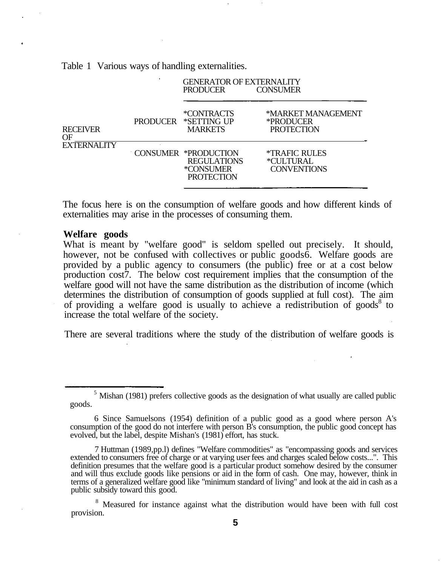Table 1 Various ways of handling externalities.

|                              |          | <b>GENERATOR OF EXTERNALITY</b><br><b>PRODUCER</b>                           | <b>CONSUMER</b>                                                |
|------------------------------|----------|------------------------------------------------------------------------------|----------------------------------------------------------------|
| <b>RECEIVER</b><br><b>OF</b> | PRODUCER | *CONTRACTS<br>*SETTING UP<br><b>MARKETS</b>                                  | *MARKET MANAGEMENT<br>*PRODUCER<br><b>PROTECTION</b>           |
| <b>EXTERNALITY</b>           |          | CONSUMER *PRODUCTION<br><b>REGULATIONS</b><br>*CONSUMER<br><b>PROTECTION</b> | <i><b>*TRAFIC RULES</b></i><br>*CULTURAL<br><b>CONVENTIONS</b> |

The focus here is on the consumption of welfare goods and how different kinds of externalities may arise in the processes of consuming them.

### **Welfare goods**

What is meant by "welfare good" is seldom spelled out precisely. It should, however, not be confused with collectives or public goods 6. Welfare goods are provided by a public agency to consumers (the public) free or at a cost below production cost7. The below cost requirement implies that the consumption of the welfare good will not have the same distribution as the distribution of income (which determines the distribution of consumption of goods supplied at full cost). The aim of providing a welfare good is usually to achieve a redistribution of goods<sup>8</sup> to increase the total welfare of the society.

There are several traditions where the study of the distribution of welfare goods is

 $<sup>5</sup>$  Mishan (1981) prefers collective goods as the designation of what usually are called public</sup> goods.

<sup>6</sup> Since Samuelsons (1954) definition of a public good as a good where person A's consumption of the good do not interfere with person B's consumption, the public good concept has evolved, but the label, despite Mishan's (1981) effort, has stuck.

<sup>7</sup> Huttman (1989,pp.l) defines "Welfare commodities" as "encompassing goods and services extended to consumers free of charge or at varying user fees and charges scaled below costs...". This definition presumes that the welfare good is a particular product somehow desired by the consumer and will thus exclude goods like pensions or aid in the form of cash. One may, however, think in terms of a generalized welfare good like "minimum standard of living" and look at the aid in cash as a public subsidy toward this good.

<sup>&</sup>lt;sup>8</sup> Measured for instance against what the distribution would have been with full cost provision.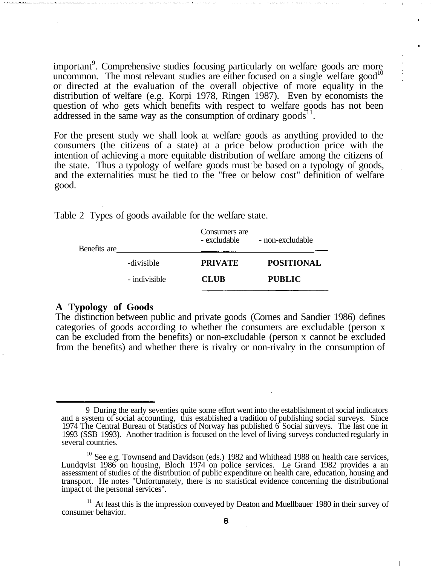important<sup>9</sup>. Comprehensive studies focusing particularly on welfare goods are more uncommon. The most relevant studies are either focused on a single welfare good<sup>10</sup> or directed at the evaluation of the overall objective of more equality in the distribution of welfare (e.g. Korpi 1978, Ringen 1987). Even by economists the question of who gets which benefits with respect to welfare goods has not been addressed in the same way as the consumption of ordinary goods<sup>11</sup>.

For the present study we shall look at welfare goods as anything provided to the consumers (the citizens of a state) at a price below production price with the intention of achieving a more equitable distribution of welfare among the citizens of the state. Thus a typology of welfare goods must be based on a typology of goods, and the externalities must be tied to the "free or below cost" definition of welfare good.

| Benefits are |               | Consumers are<br>- excludable | - non-excludable  |  |
|--------------|---------------|-------------------------------|-------------------|--|
|              | -divisible    | <b>PRIVATE</b>                | <b>POSITIONAL</b> |  |
|              | - indivisible | <b>CLUB</b>                   | <b>PUBLIC</b>     |  |
|              |               |                               |                   |  |

Table 2 Types of goods available for the welfare state.

# **A Typology of Goods**

The distinction between public and private goods (Cornes and Sandier 1986) defines categories of goods according to whether the consumers are excludable (person x can be excluded from the benefits) or non-excludable (person x cannot be excluded from the benefits) and whether there is rivalry or non-rivalry in the consumption of

<sup>9</sup> During the early seventies quite some effort went into the establishment of social indicators and a system of social accounting, this established a tradition of publishing social surveys. Since 1974 The Central Bureau of Statistics of Norway has published 6 Social surveys. The last one in 1993 (SSB 1993). Another tradition is focused on the level of living surveys conducted regularly in several countries.

 $10$  See e.g. Townsend and Davidson (eds.) 1982 and Whithead 1988 on health care services, Lundqvist 1986 on housing, Bloch 1974 on police services. Le Grand 1982 provides a an assessment of studies of the distribution of public expenditure on health care, education, housing and transport. He notes "Unfortunately, there is no statistical evidence concerning the distributional impact of the personal services".

 $11$  At least this is the impression conveyed by Deaton and Muellbauer 1980 in their survey of consumer behavior.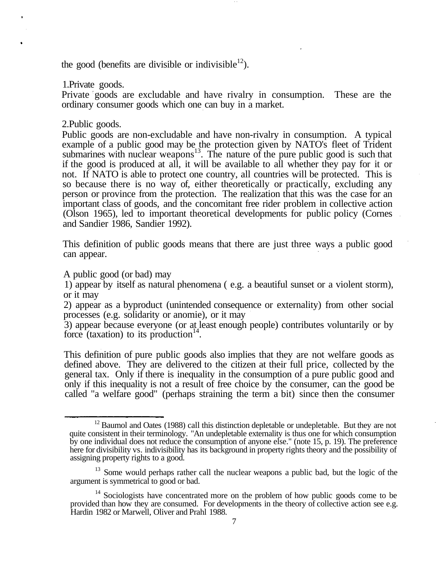the good (benefits are divisible or indivisible<sup>12</sup>).

1.Private goods.

Private goods are excludable and have rivalry in consumption. These are the ordinary consumer goods which one can buy in a market.

2.Public goods.

Public goods are non-excludable and have non-rivalry in consumption. A typical example of a public good may be the protection given by NATO's fleet of Trident submarines with nuclear weapons<sup>13</sup>. The nature of the pure public good is such that if the good is produced at all, it will be available to all whether they pay for it or not. If NATO is able to protect one country, all countries will be protected. This is so because there is no way of, either theoretically or practically, excluding any person or province from the protection. The realization that this was the case for an important class of goods, and the concomitant free rider problem in collective action (Olson 1965), led to important theoretical developments for public policy (Cornes and Sandier 1986, Sandier 1992).

This definition of public goods means that there are just three ways a public good can appear.

A public good (or bad) may

1) appear by itself as natural phenomena ( e.g. a beautiful sunset or a violent storm), or it may

2) appear as a byproduct (unintended consequence or externality) from other social processes (e.g. solidarity or anomie), or it may

3) appear because everyone (or at least enough people) contributes voluntarily or by force (taxation) to its production<sup>14</sup>.

This definition of pure public goods also implies that they are not welfare goods as defined above. They are delivered to the citizen at their full price, collected by the general tax. Only if there is inequality in the consumption of a pure public good and only if this inequality is not a result of free choice by the consumer, can the good be called "a welfare good" (perhaps straining the term a bit) since then the consumer

 $12$  Baumol and Oates (1988) call this distinction depletable or undepletable. But they are not quite consistent in their terminology. "An undepletable externality is thus one for which consumption by one individual does not reduce the consumption of anyone else." (note 15, p. 19). The preference here for divisibility vs. indivisibility has its background in property rights theory and the possibility of assigning property rights to a good.

<sup>&</sup>lt;sup>13</sup> Some would perhaps rather call the nuclear weapons a public bad, but the logic of the argument is symmetrical to good or bad.

<sup>&</sup>lt;sup>14</sup> Sociologists have concentrated more on the problem of how public goods come to be provided than how they are consumed. For developments in the theory of collective action see e.g. Hardin 1982 or Marwell, Oliver and Prahl 1988.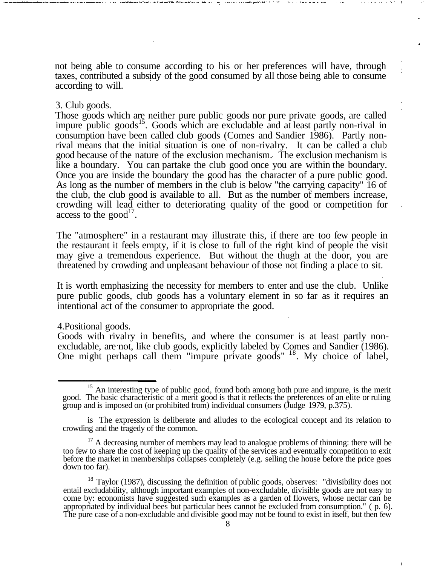not being able to consume according to his or her preferences will have, through taxes, contributed a subsidy of the good consumed by all those being able to consume according to will.

### 3. Club goods.

Those goods which are neither pure public goods nor pure private goods, are called impure public goods<sup>15</sup>. Goods which are excludable and at least partly non-rival in consumption have been called club goods (Comes and Sandier 1986). Partly nonrival means that the initial situation is one of non-rivalry. It can be called a club good because of the nature of the exclusion mechanism. The exclusion mechanism is like a boundary. You can partake the club good once you are within the boundary. Once you are inside the boundary the good has the character of a pure public good. As long as the number of members in the club is below "the carrying capacity" 16 of the club, the club good is available to all. But as the number of members increase, crowding will lead either to deteriorating quality of the good or competition for access to the good<sup>17</sup>.

The "atmosphere" in a restaurant may illustrate this, if there are too few people in the restaurant it feels empty, if it is close to full of the right kind of people the visit may give a tremendous experience. But without the thugh at the door, you are threatened by crowding and unpleasant behaviour of those not finding a place to sit.

It is worth emphasizing the necessity for members to enter and use the club. Unlike pure public goods, club goods has a voluntary element in so far as it requires an intentional act of the consumer to appropriate the good.

#### 4.Positional goods.

Goods with rivalry in benefits, and where the consumer is at least partly nonexcludable, are not, like club goods, explicitly labeled by Comes and Sandier (1986). One might perhaps call them "impure private goods" <sup>18</sup>. My choice of label,

<sup>&</sup>lt;sup>15</sup> An interesting type of public good, found both among both pure and impure, is the merit good. The basic characteristic of a merit good is that it reflects the preferences of an elite or ruling group and is imposed on (or prohibited from) individual consumers (Judge 1979, p.375).

is The expression is deliberate and alludes to the ecological concept and its relation to crowding and the tragedy of the common.

 $17$  A decreasing number of members may lead to analogue problems of thinning: there will be too few to share the cost of keeping up the quality of the services and eventually competition to exit before the market in memberships collapses completely (e.g. selling the house before the price goes down too far).

 $18$  Taylor (1987), discussing the definition of public goods, observes: "divisibility does not entail excludability, although important examples of non-excludable, divisible goods are not easy to come by: economists have suggested such examples as a garden of flowers, whose nectar can be appropriated by individual bees but particular bees cannot be excluded from consumption." ( p. 6). The pure case of a non-excludable and divisible good may not be found to exist in itself, but then few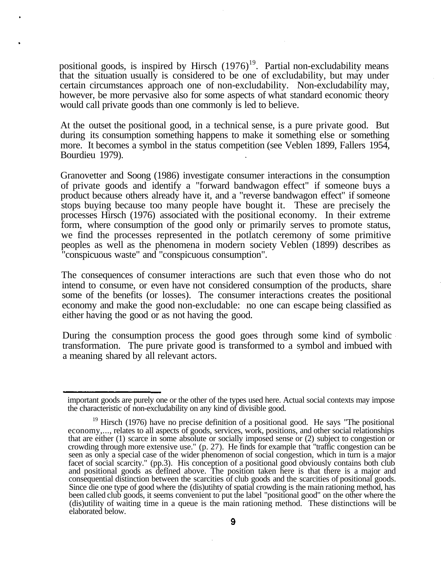positional goods, is inspired by Hirsch  $(1976)^{19}$ . Partial non-excludability means that the situation usually is considered to be one of excludability, but may under certain circumstances approach one of non-excludability. Non-excludability may, however, be more pervasive also for some aspects of what standard economic theory would call private goods than one commonly is led to believe.

At the outset the positional good, in a technical sense, is a pure private good. But during its consumption something happens to make it something else or something more. It becomes a symbol in the status competition (see Veblen 1899, Fallers 1954, Bourdieu 1979).

Granovetter and Soong (1986) investigate consumer interactions in the consumption of private goods and identify a "forward bandwagon effect" if someone buys a product because others already have it, and a "reverse bandwagon effect" if someone stops buying because too many people have bought it. These are precisely the processes Hirsch (1976) associated with the positional economy. In their extreme form, where consumption of the good only or primarily serves to promote status, we find the processes represented in the potlatch ceremony of some primitive peoples as well as the phenomena in modern society Veblen (1899) describes as "conspicuous waste" and "conspicuous consumption".

The consequences of consumer interactions are such that even those who do not intend to consume, or even have not considered consumption of the products, share some of the benefits (or losses). The consumer interactions creates the positional economy and make the good non-excludable: no one can escape being classified as either having the good or as not having the good.

During the consumption process the good goes through some kind of symbolic transformation. The pure private good is transformed to a symbol and imbued with a meaning shared by all relevant actors.

important goods are purely one or the other of the types used here. Actual social contexts may impose the characteristic of non-excludability on any kind of divisible good.

 $19$  Hirsch (1976) have no precise definition of a positional good. He says "The positional economy,..., relates to all aspects of goods, services, work, positions, and other social relationships that are either (1) scarce in some absolute or socially imposed sense or (2) subject to congestion or crowding through more extensive use." (p. 27). He finds for example that "traffic congestion can be seen as only a special case of the wider phenomenon of social congestion, which in turn is a major facet of social scarcity." (pp.3). His conception of a positional good obviously contains both club and positional goods as defined above. The position taken here is that there is a major and consequential distinction between the scarcities of club goods and the scarcities of positional goods. Since die one type of good where the (dis)utihty of spatial crowding is the main rationing method, has been called club goods, it seems convenient to put the label "positional good" on the other where the (dis)utility of waiting time in a queue is the main rationing method. These distinctions will be elaborated below.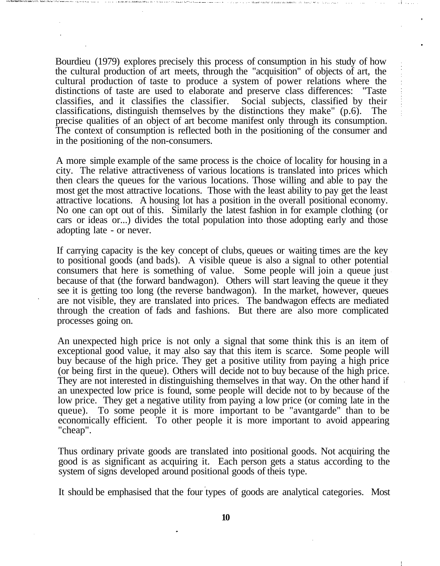Bourdieu (1979) explores precisely this process of consumption in his study of how the cultural production of art meets, through the "acquisition" of objects of art, the cultural production of taste to produce a system of power relations where the distinctions of taste are used to elaborate and preserve class differences: "Taste classifies, and it classifies the classifier. Social subjects, classified by their classifications, distinguish themselves by the distinctions they make" (p.6). The precise qualities of an object of art become manifest only through its consumption. The context of consumption is reflected both in the positioning of the consumer and in the positioning of the non-consumers.

A more simple example of the same process is the choice of locality for housing in a city. The relative attractiveness of various locations is translated into prices which then clears the queues for the various locations. Those willing and able to pay the most get the most attractive locations. Those with the least ability to pay get the least attractive locations. A housing lot has a position in the overall positional economy. No one can opt out of this. Similarly the latest fashion in for example clothing (or cars or ideas or...) divides the total population into those adopting early and those adopting late - or never.

If carrying capacity is the key concept of clubs, queues or waiting times are the key to positional goods (and bads). A visible queue is also a signal to other potential consumers that here is something of value. Some people will join a queue just because of that (the forward bandwagon). Others will start leaving the queue it they see it is getting too long (the reverse bandwagon). In the market, however, queues are not visible, they are translated into prices. The bandwagon effects are mediated through the creation of fads and fashions. But there are also more complicated processes going on.

An unexpected high price is not only a signal that some think this is an item of exceptional good value, it may also say that this item is scarce. Some people will buy because of the high price. They get a positive utility from paying a high price (or being first in the queue). Others will decide not to buy because of the high price. They are not interested in distinguishing themselves in that way. On the other hand if an unexpected low price is found, some people will decide not to by because of the low price. They get a negative utility from paying a low price (or coming late in the queue). To some people it is more important to be "avantgarde" than to be economically efficient. To other people it is more important to avoid appearing "cheap".

Thus ordinary private goods are translated into positional goods. Not acquiring the good is as significant as acquiring it. Each person gets a status according to the system of signs developed around positional goods of theis type.

It should be emphasised that the four types of goods are analytical categories. Most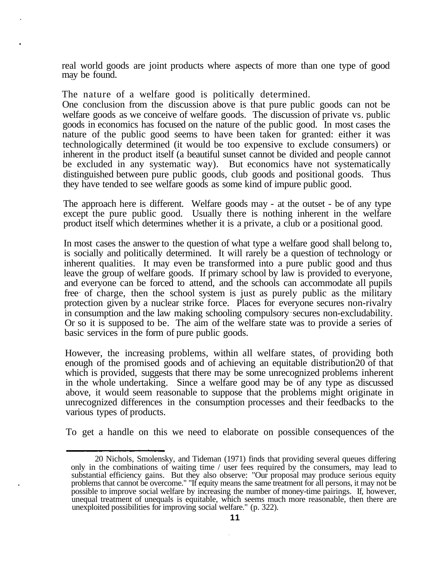real world goods are joint products where aspects of more than one type of good may be found.

The nature of a welfare good is politically determined.

One conclusion from the discussion above is that pure public goods can not be welfare goods as we conceive of welfare goods. The discussion of private vs. public goods in economics has focused on the nature of the public good. In most cases the nature of the public good seems to have been taken for granted: either it was technologically determined (it would be too expensive to exclude consumers) or inherent in the product itself (a beautiful sunset cannot be divided and people cannot be excluded in any systematic way). But economics have not systematically distinguished between pure public goods, club goods and positional goods. Thus they have tended to see welfare goods as some kind of impure public good.

The approach here is different. Welfare goods may - at the outset - be of any type except the pure public good. Usually there is nothing inherent in the welfare product itself which determines whether it is a private, a club or a positional good.

In most cases the answer to the question of what type a welfare good shall belong to, is socially and politically determined. It will rarely be a question of technology or inherent qualities. It may even be transformed into a pure public good and thus leave the group of welfare goods. If primary school by law is provided to everyone, and everyone can be forced to attend, and the schools can accommodate all pupils free of charge, then the school system is just as purely public as the military protection given by a nuclear strike force. Places for everyone secures non-rivalry in consumption and the law making schooling compulsory secures non-excludability. Or so it is supposed to be. The aim of the welfare state was to provide a series of basic services in the form of pure public goods.

However, the increasing problems, within all welfare states, of providing both enough of the promised goods and of achieving an equitable distribution20 of that which is provided, suggests that there may be some unrecognized problems inherent in the whole undertaking. Since a welfare good may be of any type as discussed above, it would seem reasonable to suppose that the problems might originate in unrecognized differences in the consumption processes and their feedbacks to the various types of products.

To get a handle on this we need to elaborate on possible consequences of the

<sup>20</sup> Nichols, Smolensky, and Tideman (1971) finds that providing several queues differing only in the combinations of waiting time / user fees required by the consumers, may lead to substantial efficiency gains. But they also observe: "Our proposal may produce serious equity problems that cannot be overcome." "If equity means the same treatment for all persons, it may not be possible to improve social welfare by increasing the number of money-time pairings. If, however, unequal treatment of unequals is equitable, which seems much more reasonable, then there are unexploited possibilities for improving social welfare." (p. 322).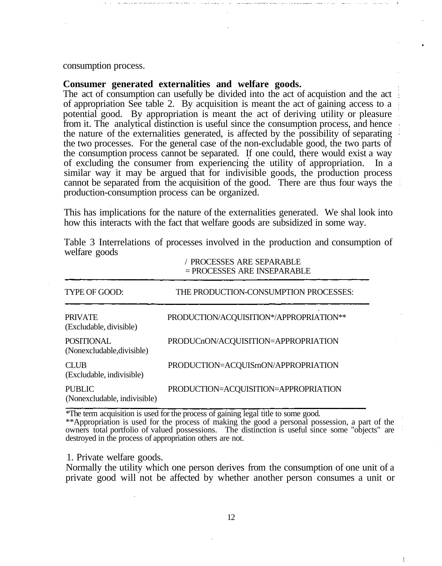#### consumption process.

# **Consumer generated externalities and welfare goods.**

The act of consumption can usefully be divided into the act of acquistion and the act of appropriation See table 2. By acquisition is meant the act of gaining access to a potential good. By appropriation is meant the act of deriving utility or pleasure from it. The analytical distinction is useful since the consumption process, and hence the nature of the externalities generated, is affected by the possibility of separating the two processes. For the general case of the non-excludable good, the two parts of the consumption process cannot be separated. If one could, there would exist a way of excluding the consumer from experiencing the utility of appropriation. In a similar way it may be argued that for indivisible goods, the production process cannot be separated from the acquisition of the good. There are thus four ways the production-consumption process can be organized.

This has implications for the nature of the externalities generated. We shal look into how this interacts with the fact that welfare goods are subsidized in some way.

|                                                 | 7 TIWAZEMEN AINE METAINADEE<br>$=$ PROCESSES ARE INSEPARABLE<br>THE PRODUCTION-CONSUMPTION PROCESSES: |  |
|-------------------------------------------------|-------------------------------------------------------------------------------------------------------|--|
| TYPE OF GOOD:                                   |                                                                                                       |  |
| <b>PRIVATE</b><br>(Excludable, divisible)       | PRODUCTION/ACQUISITION*/APPROPRIATION**                                                               |  |
| <b>POSITIONAL</b><br>(Nonexcludable, divisible) | PRODUCnON/ACQUISITION=APPROPRIATION                                                                   |  |
| <b>CLUB</b><br>(Excludable, indivisible)        | PRODUCTION=ACQUISmON/APPROPRIATION                                                                    |  |
| <b>PUBLIC</b><br>(Nonexcludable, indivisible)   | PRODUCTION=ACQUISITION=APPROPRIATION                                                                  |  |

Table 3 Interrelations of processes involved in the production and consumption of welfare goods

/ PROCESSES ARE SEPARABLE

\*The term acquisition is used for the process of gaining legal title to some good.

\*\*Appropriation is used for the process of making the good a personal possession, a part of the owners total portfolio of valued possessions. The distinction is useful since some "objects" are destroyed in the process of appropriation others are not.

1. Private welfare goods.

Normally the utility which one person derives from the consumption of one unit of a private good will not be affected by whether another person consumes a unit or

ŧ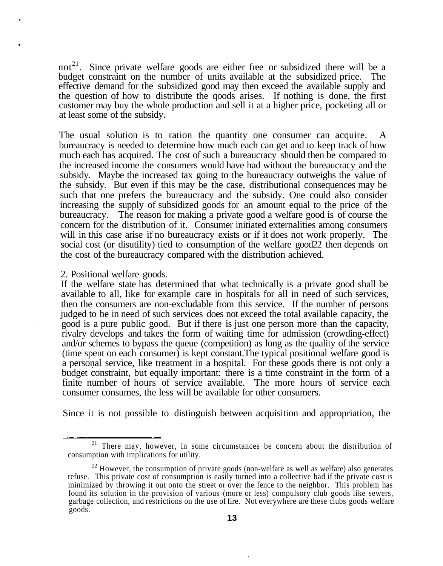not<sup>21</sup>. Since private welfare goods are either free or subsidized there will be a budget constraint on the number of units available at the subsidized price. The effective demand for the subsidized good may then exceed the available supply and the question of how to distribute the qoods arises. If nothing is done, the first customer may buy the whole production and sell it at a higher price, pocketing all or at least some of the subsidy.

The usual solution is to ration the quantity one consumer can acquire. bureaucracy is needed to determine how much each can get and to keep track of how much each has acquired. The cost of such a bureaucracy should then be compared to the increased income the consumers would have had without the bureaucracy and the subsidy. Maybe the increased tax going to the bureaucracy outweighs the value of the subsidy. But even if this may be the case, distributional consequences may be such that one prefers the bureaucracy and the subsidy. One could also consider increasing the supply of subsidized goods for an amount equal to the price of the bureaucracy. The reason for making a private good a welfare good is of course the concern for the distribution of it. Consumer initiated externalities among consumers will in this case arise if no bureaucracy exists or if it does not work properly. The social cost (or disutility) tied to consumption of the welfare good22 then depends on the cost of the bureaucracy compared with the distribution achieved.

2. Positional welfare goods.

If the welfare state has determined that what technically is a private good shall be available to all, like for example care in hospitals for all in need of such services, then the consumers are non-excludable from this service. If the number of persons judged to be in need of such services does not exceed the total available capacity, the good is a pure public good. But if there is just one person more than the capacity, rivalry develops and takes the form of waiting time for admission (crowding-effect) and/or schemes to bypass the queue (competition) as long as the quality of the service (time spent on each consumer) is kept constant.The typical positional welfare good is a personal service, like treatment in a hospital. For these goods there is not only a budget constraint, but equally important: there is a time constraint in the form of a finite number of hours of service available. The more hours of service each consumer consumes, the less will be available for other consumers.

Since it is not possible to distinguish between acquisition and appropriation, the

<sup>&</sup>lt;sup>21</sup> There may, however, in some circumstances be concern about the distribution of consumption with implications for utility.

 $2<sup>22</sup>$  However, the consumption of private goods (non-welfare as well as welfare) also generates refuse. This private cost of consumption is easily turned into a collective bad if the private cost is minimized by throwing it out onto the street or over the fence to the neighbor. This problem has found its solution in the provision of various (more or less) compulsory club goods like sewers, garbage collection, and restrictions on the use of fire. Not everywhere are these clubs goods welfare goods.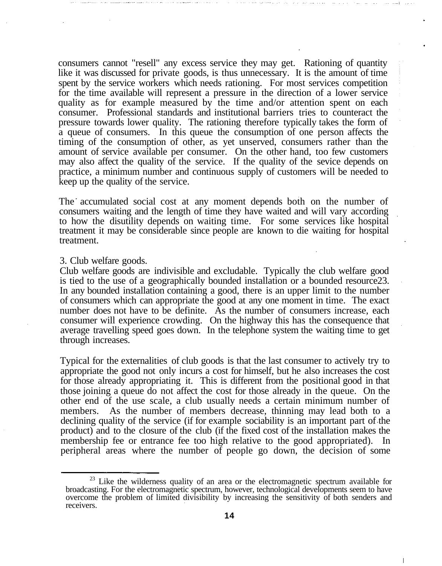consumers cannot "resell" any excess service they may get. Rationing of quantity like it was discussed for private goods, is thus unnecessary. It is the amount of time spent by the service workers which needs rationing. For most services competition for the time available will represent a pressure in the direction of a lower service quality as for example measured by the time and/or attention spent on each consumer. Professional standards and institutional barriers tries to counteract the pressure towards lower quality. The rationing therefore typically takes the form of a queue of consumers. In this queue the consumption of one person affects the timing of the consumption of other, as yet unserved, consumers rather than the amount of service available per consumer. On the other hand, too few customers may also affect the quality of the service. If the quality of the sevice depends on practice, a minimum number and continuous supply of customers will be needed to keep up the quality of the service.

The accumulated social cost at any moment depends both on the number of consumers waiting and the length of time they have waited and will vary according to how the disutility depends on waiting time. For some services like hospital treatment it may be considerable since people are known to die waiting for hospital treatment.

### 3. Club welfare goods.

Club welfare goods are indivisible and excludable. Typically the club welfare good is tied to the use of a geographically bounded installation or a bounded resource23. In any bounded installation containing a good, there is an upper limit to the number of consumers which can appropriate the good at any one moment in time. The exact number does not have to be definite. As the number of consumers increase, each consumer will experience crowding. On the highway this has the consequence that average travelling speed goes down. In the telephone system the waiting time to get through increases.

Typical for the externalities of club goods is that the last consumer to actively try to appropriate the good not only incurs a cost for himself, but he also increases the cost for those already appropriating it. This is different from the positional good in that those joining a queue do not affect the cost for those already in the queue. On the other end of the use scale, a club usually needs a certain minimum number of members. As the number of members decrease, thinning may lead both to a declining quality of the service (if for example sociability is an important part of the product) and to the closure of the club (if the fixed cost of the installation makes the membership fee or entrance fee too high relative to the good appropriated). In peripheral areas where the number of people go down, the decision of some

 $2<sup>23</sup>$  Like the wilderness quality of an area or the electromagnetic spectrum available for broadcasting. For the electromagnetic spectrum, however, technological developments seem to have overcome the problem of limited divisibility by increasing the sensitivity of both senders and receivers.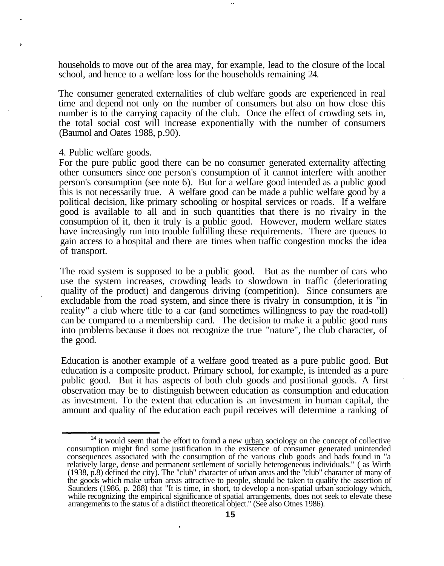households to move out of the area may, for example, lead to the closure of the local school, and hence to a welfare loss for the households remaining 24.

The consumer generated externalities of club welfare goods are experienced in real time and depend not only on the number of consumers but also on how close this number is to the carrying capacity of the club. Once the effect of crowding sets in, the total social cost will increase exponentially with the number of consumers (Baumol and Oates 1988, p.90).

4. Public welfare goods.

For the pure public good there can be no consumer generated externality affecting other consumers since one person's consumption of it cannot interfere with another person's consumption (see note 6). But for a welfare good intended as a public good this is not necessarily true. A welfare good can be made a public welfare good by a political decision, like primary schooling or hospital services or roads. If a welfare good is available to all and in such quantities that there is no rivalry in the consumption of it, then it truly is a public good. However, modern welfare states have increasingly run into trouble fulfilling these requirements. There are queues to gain access to a hospital and there are times when traffic congestion mocks the idea of transport.

The road system is supposed to be a public good. But as the number of cars who use the system increases, crowding leads to slowdown in traffic (deteriorating quality of the product) and dangerous driving (competition). Since consumers are excludable from the road system, and since there is rivalry in consumption, it is "in reality" a club where title to a car (and sometimes willingness to pay the road-toll) can be compared to a membership card. The decision to make it a public good runs into problems because it does not recognize the true "nature", the club character, of the good.

Education is another example of a welfare good treated as a pure public good. But education is a composite product. Primary school, for example, is intended as a pure public good. But it has aspects of both club goods and positional goods. A first observation may be to distinguish between education as consumption and education as investment. To the extent that education is an investment in human capital, the amount and quality of the education each pupil receives will determine a ranking of

 $24$  it would seem that the effort to found a new  $urban$  sociology on the concept of collective</u> consumption might find some justification in the existence of consumer generated unintended consequences associated with the consumption of the various club goods and bads found in "a relatively large, dense and permanent settlement of socially heterogeneous individuals." ( as Wirth (1938, p.8) defined the city). The "club" character of urban areas and the "club" character of many of the goods which make urban areas attractive to people, should be taken to qualify the assertion of Saunders (1986, p. 288) that "It is time, in short, to develop a non-spatial urban sociology which, while recognizing the empirical significance of spatial arrangements, does not seek to elevate these arrangements to the status of a distinct theoretical object." (See also Otnes 1986).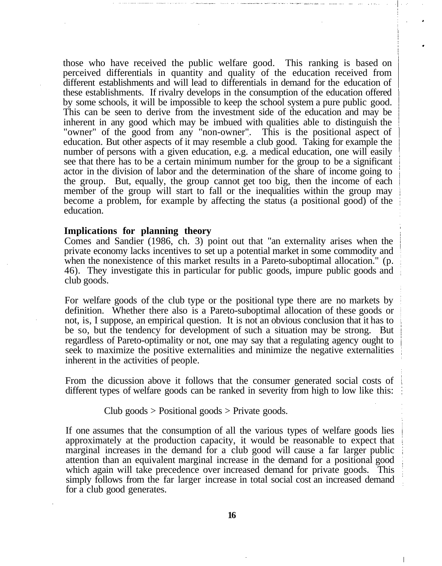those who have received the public welfare good. This ranking is based on perceived differentials in quantity and quality of the education received from different establishments and will lead to differentials in demand for the education of these establishments. If rivalry develops in the consumption of the education offered by some schools, it will be impossible to keep the school system a pure public good. This can be seen to derive from the investment side of the education and may be inherent in any good which may be imbued with qualities able to distinguish the "owner" of the good from any "non-owner". This is the positional aspect of education. But other aspects of it may resemble a club good. Taking for example the number of persons with a given education, e.g. a medical education, one will easily see that there has to be a certain minimum number for the group to be a significant actor in the division of labor and the determination of the share of income going to the group. But, equally, the group cannot get too big, then the income of each member of the group will start to fall or the inequalities within the group may become a problem, for example by affecting the status (a positional good) of the education.

#### **Implications for planning theory**

Comes and Sandier (1986, ch. 3) point out that "an externality arises when the private economy lacks incentives to set up a potential market in some commodity and when the nonexistence of this market results in a Pareto-suboptimal allocation." (p. 46). They investigate this in particular for public goods, impure public goods and club goods.

For welfare goods of the club type or the positional type there are no markets by definition. Whether there also is a Pareto-suboptimal allocation of these goods or not, is, I suppose, an empirical question. It is not an obvious conclusion that it has to be so, but the tendency for development of such a situation may be strong. But regardless of Pareto-optimality or not, one may say that a regulating agency ought to seek to maximize the positive externalities and minimize the negative externalities inherent in the activities of people.

From the dicussion above it follows that the consumer generated social costs of different types of welfare goods can be ranked in severity from high to low like this:

### Club goods  $>$  Positional goods  $>$  Private goods.

If one assumes that the consumption of all the various types of welfare goods lies approximately at the production capacity, it would be reasonable to expect that marginal increases in the demand for a club good will cause a far larger public attention than an equivalent marginal increase in the demand for a positional good which again will take precedence over increased demand for private goods. This simply follows from the far larger increase in total social cost an increased demand for a club good generates.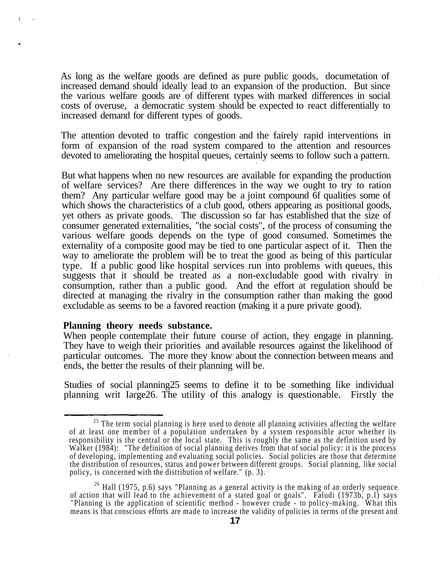As long as the welfare goods are defined as pure public goods, documetation of increased demand should ideally lead to an expansion of the production. But since the various welfare goods are of different types with marked differences in social costs of overuse, a democratic system should be expected to react differentially to increased demand for different types of goods.

The attention devoted to traffic congestion and the fairely rapid interventions in form of expansion of the road system compared to the attention and resources devoted to ameliorating the hospital queues, certainly seems to follow such a pattern.

But what happens when no new resources are available for expanding the production of welfare services? Are there differences in the way we ought to try to ration them? Any particular welfare good may be a joint compound 6f qualities some of which shows the characteristics of a club good, others appearing as positional goods, yet others as private goods. The discussion so far has established that the size of consumer generated externalities, "the social costs", of the process of consuming the various welfare goods depends on the type of good consumed. Sometimes the externality of a composite good may be tied to one particular aspect of it. Then the way to ameliorate the problem will be to treat the good as being of this particular type. If a public good like hospital services run into problems with queues, this suggests that it should be treated as a non-excludable good with rivalry in consumption, rather than a public good. And the effort at regulation should be directed at managing the rivalry in the consumption rather than making the good excludable as seems to be a favored reaction (making it a pure private good).

# **Planning theory needs substance.**

When people contemplate their future course of action, they engage in planning. They have to weigh their priorities and available resources against the likelihood of particular outcomes. The more they know about the connection between means and ends, the better the results of their planning will be.

Studies of social planning25 seems to define it to be something like individual planning writ Iarge26. The utility of this analogy is questionable. Firstly the

<sup>&</sup>lt;sup>25</sup> The term social planning is here used to denote all planning activities affecting the welfare of at least one member of a population undertaken by a system responsible actor whether its responsibility is the central or the local state. This is roughly the same as the definition used by Walker (1984): "The definition of social planning derives from that of social policy: it is the process of developing, implementing and evaluating social policies. Social policies are those that determine the distribution of resources, status and power between different groups. Social planning, like social policy, is concerned with the distribution of welfare." (p. 3).

 $26$  Hall (1975, p.6) says "Planning as a general activity is the making of an orderly sequence of action that will lead to the achievement of a stated goal or goals". Faludi (1973b, p.l) says "Planning is the application of scientific method - however crude - to policy-making. What this means is that conscious efforts are made to increase the validity of policies in terms of the present and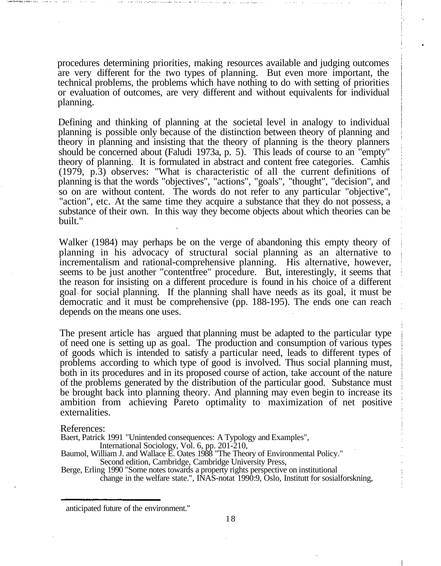procedures determining priorities, making resources available and judging outcomes are very different for the two types of planning. But even more important, the technical problems, the problems which have nothing to do with setting of priorities or evaluation of outcomes, are very different and without equivalents for individual planning.

Defining and thinking of planning at the societal level in analogy to individual planning is possible only because of the distinction between theory of planning and theory in planning and insisting that the theory of planning is the theory planners should be concerned about (Faludi 1973a, p. 5). This leads of course to an "empty" theory of planning. It is formulated in abstract and content free categories. Camhis (1979, p.3) observes: "What is characteristic of all the current definitions of planning is that the words "objectives", "actions", "goals", "thought", "decision", and so on are without content. The words do not refer to any particular "objective", "action", etc. At the same time they acquire a substance that they do not possess, a substance of their own. In this way they become objects about which theories can be built."

Walker (1984) may perhaps be on the verge of abandoning this empty theory of planning in his advocacy of structural social planning as an alternative to incrementalism and rational-comprehensive planning. His alternative, however, seems to be just another "contentfree" procedure. But, interestingly, it seems that the reason for insisting on a different procedure is found in his choice of a different goal for social planning. If the planning shall have needs as its goal, it must be democratic and it must be comprehensive (pp. 188-195). The ends one can reach depends on the means one uses.

The present article has argued that planning must be adapted to the particular type of need one is setting up as goal. The production and consumption of various types of goods which is intended to satisfy a particular need, leads to different types of problems according to which type of good is involved. Thus social planning must, both in its procedures and in its proposed course of action, take account of the nature of the problems generated by the distribution of the particular good. Substance must be brought back into planning theory. And planning may even begin to increase its ambition from achieving Pareto optimality to maximization of net positive externalities.

References:

Baert, Patrick 1991 "Unintended consequences: A Typology and Examples",

International Sociology, Vol. 6, pp. 201-210,

Baumol, William J. and Wallace E. Oates 1988 "The Theory of Environmental Policy." Second edition, Cambridge, Cambridge University Press,

Berge, Erling 1990 "Some notes towards a property rights perspective on institutional change in the welfare state.", INAS-notat 1990:9, Oslo, Institutt for sosialforskning,

anticipated future of the environment."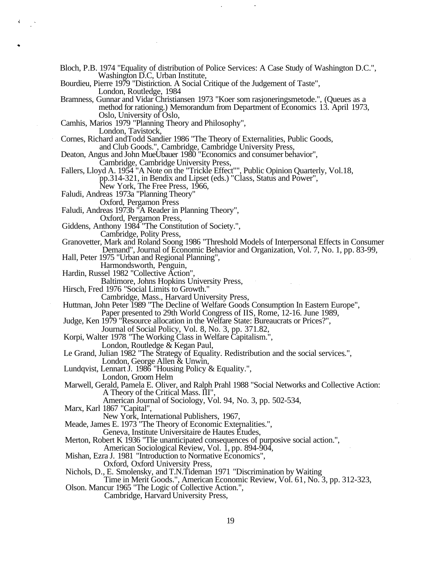Bloch, P.B. 1974 "Equality of distribution of Police Services: A Case Study of Washington D.C.", Washington D.C, Urban Institute,

Bourdieu, Pierre 1979 "Distinction. A Social Critique of the Judgement of Taste", London, Routledge, 1984

Bramness, Gunnar and Vidar Christiansen 1973 "Koer som rasjoneringsmetode.", (Queues as a method for rationing.) Memorandum from Department of Economics 13. April 1973, Oslo, University of Oslo,

Camhis, Marios 1979 "Planning Theory and Philosophy",

London, Tavistock,

Cornes, Richard andTodd Sandier 1986 "The Theory of Externalities, Public Goods, and Club Goods.", Cambridge, Cambridge University Press,

Deaton, Angus and John MueUbauer 1980 "Economics and consumer behavior",

Cambridge, Cambridge University Press,

Fallers, Lloyd A. 1954 "A Note on the "Trickle Effect"", Public Opinion Quarterly, Vol.18, pp.314-321, in Bendix and Lipset (eds.) "Class, Status and Power",

New York, The Free Press, 1966,

Faludi, Andreas 1973a "Planning Theory"

Oxford, Pergamon Press

Faludi, Andreas 1973b "A Reader in Planning Theory",

Oxford, Pergamon Press,

Giddens, Anthony 1984 "The Constitution of Society.",

Cambridge, Polity Press,

Granovetter, Mark and Roland Soong 1986 "Threshold Models of Interpersonal Effects in Consumer Demand", Journal of Economic Behavior and Organization, Vol. 7, No. 1, pp. 83-99,

Hall, Peter 1975 "Urban and Regional Planning",

Harmondsworth, Penguin,

Hardin, Russel 1982 "Collective Action",

Baltimore, Johns Hopkins University Press,

Hirsch, Fred 1976 "Social Limits to Growth."

Cambridge, Mass., Harvard University Press,

Huttman, John Peter 1989 "The Decline of Welfare Goods Consumption In Eastern Europe", Paper presented to 29th World Congress of IIS, Rome, 12-16. June 1989,

Judge, Ken 1979 "Resource allocation in the Welfare State: Bureaucrats or Prices?",

Journal of Social Policy, Vol. 8, No. 3, pp. 371.82,

Korpi, Walter 1978 "The Working Class in Welfare Capitalism.",

London, Routledge & Kegan Paul,

Le Grand, Julian 1982 "The Strategy of Equality. Redistribution and the social services.", London, George Allen & Unwin,

- Lundqvist, Lennart J. 1986 "Housing Policy & Equality.",
	- London, Groom Helm

Marwell, Gerald, Pamela E. Oliver, and Ralph Prahl 1988 "Social Networks and Collective Action: A Theory of the Critical Mass. III",

American Journal of Sociology, Vol. 94, No. 3, pp. 502-534,

Marx, Karl 1867 "Capital",

New York, International Publishers, 1967,

Meade, James E. 1973 "The Theory of Economic Externalities.",

Geneva, Institute Universitaire de Hautes Etudes,

Merton, Robert K 1936 "Tlie unanticipated consequences of purposive social action.",

American Sociological Review, Vol. 1, pp. 894-904,

Mishan, Ezra J. 1981 "Introduction to Normative Economics",

Oxford, Oxford University Press,

Nichols, D., E. Smolensky, and T.N.Tideman 1971 "Discrimination by Waiting

Time in Merit Goods.", American Economic Review, Vol. 61, No. 3, pp. 312-323, Olson. Mancur 1965 "The Logic of Collective Action.",

Cambridge, Harvard University Press,